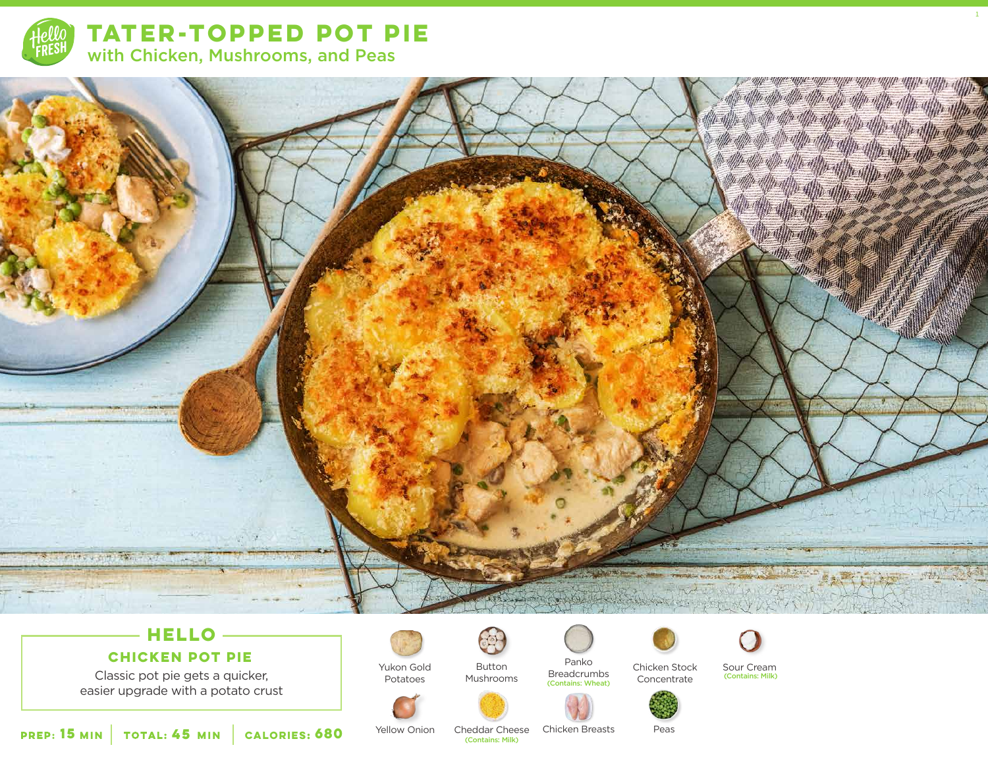

**TATER-TOPPED POT PIE** with Chicken, Mushrooms, and Peas



# **HELLO**

**CHICKEN POT PIE**

Classic pot pie gets a quicker, easier upgrade with a potato crust Yukon Gold

Potatoes

Button

Mushrooms



(Contains: Wheat)

Pariko Chicken Stock Sour Cream<br>Breadcrumbs Chicken Stock Contains: Milk) Chicken Stock Concentrate

(Contains: Milk)

1

**15 45 MIN MIN CALORIES:680** Yellow Onion

Cheddar Cheese Chicken Breasts Peas (Contains: Milk)